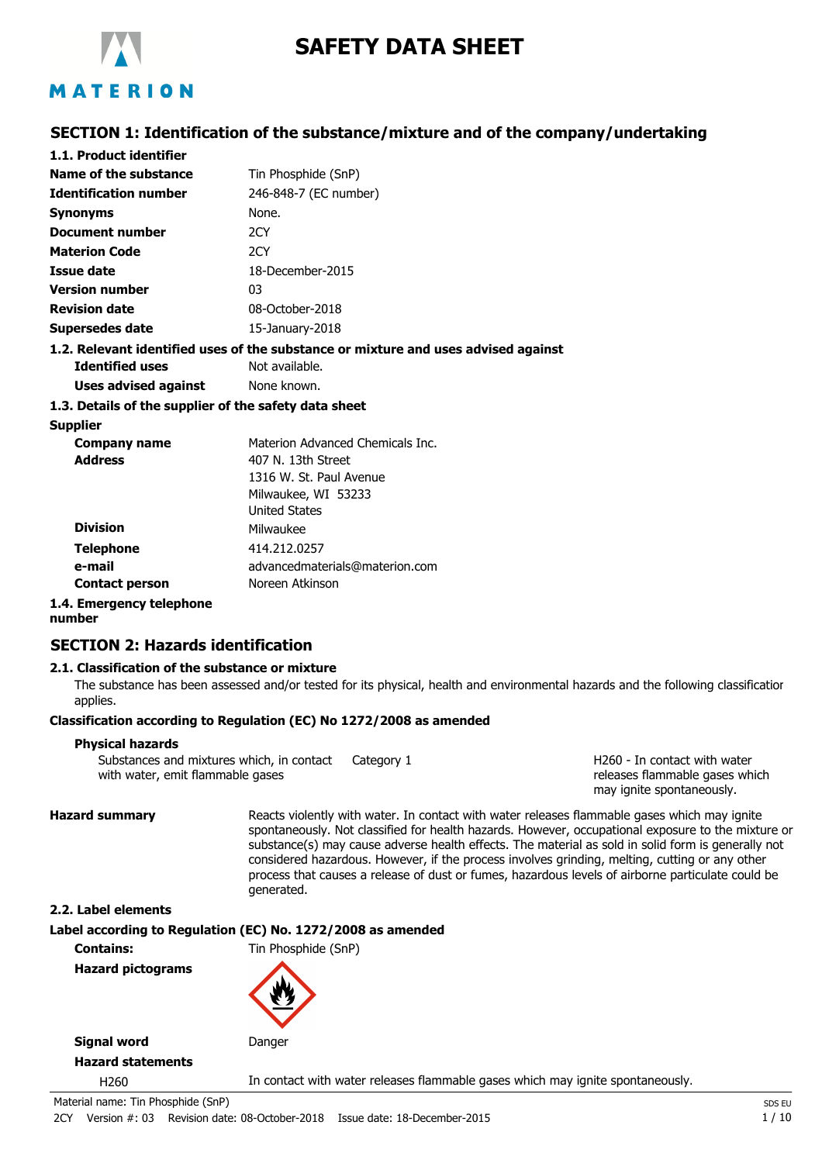

# **SAFETY DATA SHEET**

# **SECTION 1: Identification of the substance/mixture and of the company/undertaking**

| 1.1. Product identifier                               |                                                                                    |
|-------------------------------------------------------|------------------------------------------------------------------------------------|
| Name of the substance                                 | Tin Phosphide (SnP)                                                                |
| <b>Identification number</b>                          | 246-848-7 (EC number)                                                              |
| <b>Synonyms</b>                                       | None.                                                                              |
| Document number                                       | 2CY                                                                                |
| <b>Materion Code</b>                                  | 2CY                                                                                |
| <b>Issue date</b>                                     | 18-December-2015                                                                   |
| <b>Version number</b>                                 | 03                                                                                 |
| <b>Revision date</b>                                  | 08-October-2018                                                                    |
| <b>Supersedes date</b>                                | 15-January-2018                                                                    |
|                                                       | 1.2. Relevant identified uses of the substance or mixture and uses advised against |
| <b>Identified uses</b>                                | Not available.                                                                     |
| Uses advised against                                  | None known.                                                                        |
| 1.3. Details of the supplier of the safety data sheet |                                                                                    |
| <b>Supplier</b>                                       |                                                                                    |
| Company name                                          | Materion Advanced Chemicals Inc.                                                   |
| <b>Address</b>                                        | 407 N. 13th Street                                                                 |
|                                                       | 1316 W. St. Paul Avenue                                                            |
|                                                       | Milwaukee, WI 53233                                                                |
|                                                       | <b>United States</b>                                                               |
| <b>Division</b>                                       | Milwaukee                                                                          |
| <b>Telephone</b>                                      | 414.212.0257                                                                       |

advancedmaterials@materion.com

**Contact person 1.4. Emergency telephone**

**number**

**e-mail**

#### **SECTION 2: Hazards identification**

#### **2.1. Classification of the substance or mixture**

The substance has been assessed and/or tested for its physical, health and environmental hazards and the following classification applies.

#### **Classification according to Regulation (EC) No 1272/2008 as amended**

Noreen Atkinson

#### **Physical hazards**

Substances and mixtures which, in contact Category 1 with water, emit flammable gases

H260 - In contact with water releases flammable gases which may ignite spontaneously.

**Hazard summary** Reacts violently with water. In contact with water releases flammable gases which may ignite spontaneously. Not classified for health hazards. However, occupational exposure to the mixture or substance(s) may cause adverse health effects. The material as sold in solid form is generally not considered hazardous. However, if the process involves grinding, melting, cutting or any other process that causes a release of dust or fumes, hazardous levels of airborne particulate could be generated.

#### **2.2. Label elements**

**Label according to Regulation (EC) No. 1272/2008 as amended**

**Contains:** Tin Phosphide (SnP)

**Hazard pictograms**



**Signal word** Danger

**Hazard statements**

H260 In contact with water releases flammable gases which may ignite spontaneously.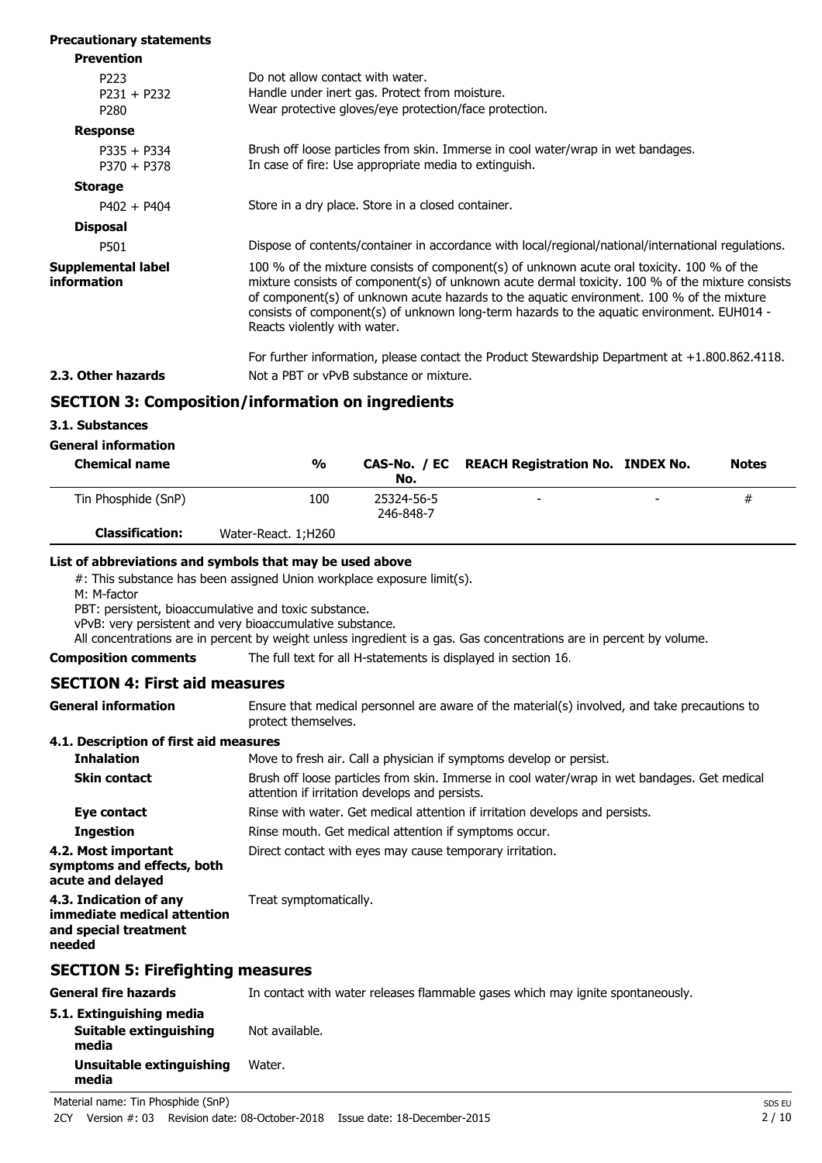| <b>Precautionary statements</b>           |                                                                                                                                                                                                                                                                                                                                                                                                                           |
|-------------------------------------------|---------------------------------------------------------------------------------------------------------------------------------------------------------------------------------------------------------------------------------------------------------------------------------------------------------------------------------------------------------------------------------------------------------------------------|
| <b>Prevention</b>                         |                                                                                                                                                                                                                                                                                                                                                                                                                           |
| P223<br>$P231 + P232$<br>P <sub>280</sub> | Do not allow contact with water.<br>Handle under inert gas. Protect from moisture.<br>Wear protective gloves/eye protection/face protection.                                                                                                                                                                                                                                                                              |
| <b>Response</b>                           |                                                                                                                                                                                                                                                                                                                                                                                                                           |
| $P335 + P334$<br>$P370 + P378$            | Brush off loose particles from skin. Immerse in cool water/wrap in wet bandages.<br>In case of fire: Use appropriate media to extinguish.                                                                                                                                                                                                                                                                                 |
| <b>Storage</b>                            |                                                                                                                                                                                                                                                                                                                                                                                                                           |
| $P402 + P404$                             | Store in a dry place. Store in a closed container.                                                                                                                                                                                                                                                                                                                                                                        |
| <b>Disposal</b>                           |                                                                                                                                                                                                                                                                                                                                                                                                                           |
| P501                                      | Dispose of contents/container in accordance with local/regional/national/international regulations.                                                                                                                                                                                                                                                                                                                       |
| Supplemental label<br>information         | 100 % of the mixture consists of component(s) of unknown acute oral toxicity. 100 % of the<br>mixture consists of component(s) of unknown acute dermal toxicity. 100 % of the mixture consists<br>of component(s) of unknown acute hazards to the aquatic environment. 100 % of the mixture<br>consists of component(s) of unknown long-term hazards to the aquatic environment. EUH014 -<br>Reacts violently with water. |
|                                           | For further information, please contact the Product Stewardship Department at +1.800.862.4118.                                                                                                                                                                                                                                                                                                                            |
| 2.3. Other hazards                        | Not a PBT or vPvB substance or mixture.                                                                                                                                                                                                                                                                                                                                                                                   |
|                                           | <b>SECTION 3: Composition/information on ingredients</b>                                                                                                                                                                                                                                                                                                                                                                  |

# **SECTION 3: Composition/information on ingredients**

**3.1. Substances**

| <b>Chemical name</b>   | $\frac{0}{0}$       | No.                     | CAS-No. / EC REACH Registration No. INDEX No. |                          | <b>Notes</b> |
|------------------------|---------------------|-------------------------|-----------------------------------------------|--------------------------|--------------|
| Tin Phosphide (SnP)    | 100                 | 25324-56-5<br>246-848-7 | -                                             | $\overline{\phantom{a}}$ | #            |
| <b>Classification:</b> | Water-React. 1;H260 |                         |                                               |                          |              |

#### **List of abbreviations and symbols that may be used above**

#: This substance has been assigned Union workplace exposure limit(s).

M: M-factor

PBT: persistent, bioaccumulative and toxic substance.

vPvB: very persistent and very bioaccumulative substance.

All concentrations are in percent by weight unless ingredient is a gas. Gas concentrations are in percent by volume.

#### **Composition comments** The full text for all H-statements is displayed in section 16.

#### **SECTION 4: First aid measures**

Ensure that medical personnel are aware of the material(s) involved, and take precautions to protect themselves. **General information**

#### **4.1. Description of first aid measures**

| <b>Inhalation</b>                                                                        | Move to fresh air. Call a physician if symptoms develop or persist.                                                                            |
|------------------------------------------------------------------------------------------|------------------------------------------------------------------------------------------------------------------------------------------------|
| <b>Skin contact</b>                                                                      | Brush off loose particles from skin. Immerse in cool water/wrap in wet bandages. Get medical<br>attention if irritation develops and persists. |
| Eye contact                                                                              | Rinse with water. Get medical attention if irritation develops and persists.                                                                   |
| <b>Ingestion</b>                                                                         | Rinse mouth. Get medical attention if symptoms occur.                                                                                          |
| 4.2. Most important<br>symptoms and effects, both<br>acute and delayed                   | Direct contact with eyes may cause temporary irritation.                                                                                       |
| 4.3. Indication of any<br>immediate medical attention<br>and special treatment<br>needed | Treat symptomatically.                                                                                                                         |
|                                                                                          |                                                                                                                                                |

#### **SECTION 5: Firefighting measures**

| <b>General fire hazards</b>                                 | In contact with water releases flammable gases which may ignite spontaneously. |
|-------------------------------------------------------------|--------------------------------------------------------------------------------|
| 5.1. Extinguishing media<br>Suitable extinguishing<br>media | Not available.                                                                 |
| Unsuitable extinguishing<br>media                           | Water.                                                                         |

Material name: Tin Phosphide (SnP) SDS EU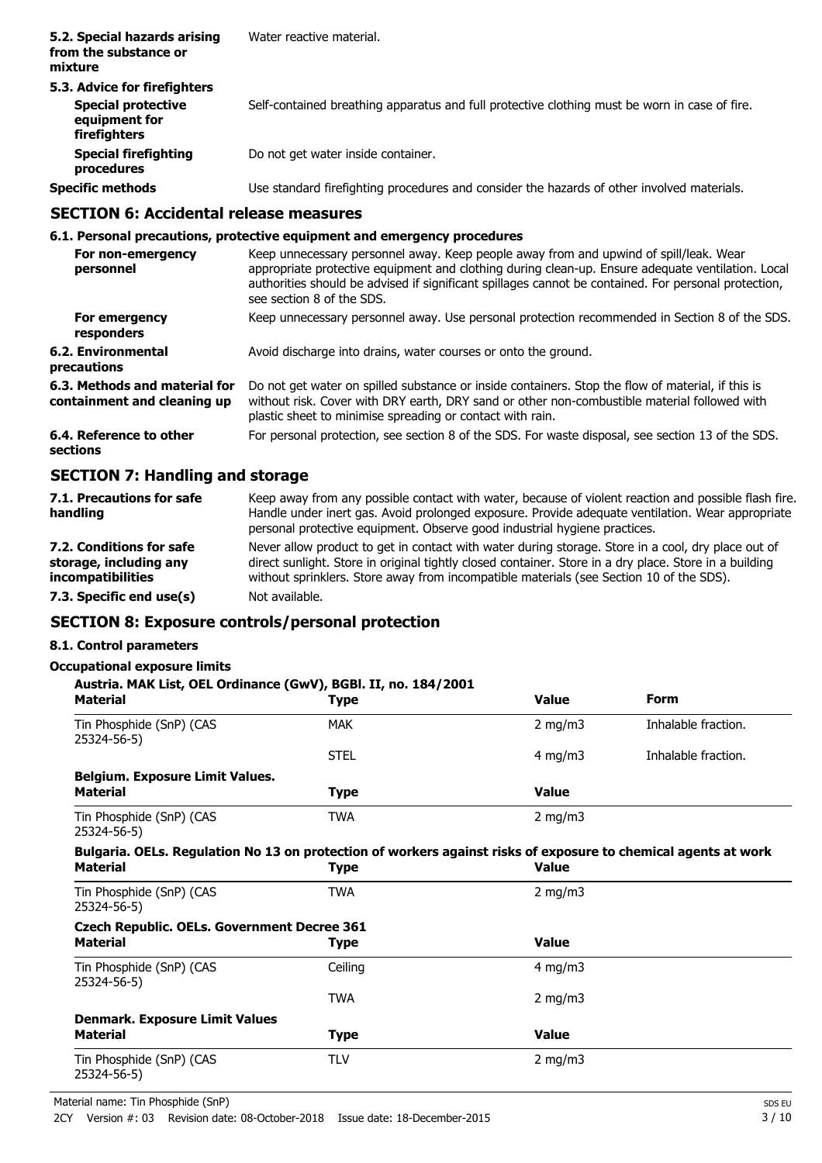| 5.2. Special hazards arising<br>from the substance or<br>mixture                           | Water reactive material.                                                                      |
|--------------------------------------------------------------------------------------------|-----------------------------------------------------------------------------------------------|
| 5.3. Advice for firefighters<br><b>Special protective</b><br>equipment for<br>firefighters | Self-contained breathing apparatus and full protective clothing must be worn in case of fire. |
| <b>Special firefighting</b><br>procedures                                                  | Do not get water inside container.                                                            |
| <b>Specific methods</b>                                                                    | Use standard firefighting procedures and consider the hazards of other involved materials.    |

### **SECTION 6: Accidental release measures**

#### **6.1. Personal precautions, protective equipment and emergency procedures**

| For non-emergency<br>personnel                               | Keep unnecessary personnel away. Keep people away from and upwind of spill/leak. Wear<br>appropriate protective equipment and clothing during clean-up. Ensure adequate ventilation. Local<br>authorities should be advised if significant spillages cannot be contained. For personal protection,<br>see section 8 of the SDS. |
|--------------------------------------------------------------|---------------------------------------------------------------------------------------------------------------------------------------------------------------------------------------------------------------------------------------------------------------------------------------------------------------------------------|
| For emergency<br>responders                                  | Keep unnecessary personnel away. Use personal protection recommended in Section 8 of the SDS.                                                                                                                                                                                                                                   |
| <b>6.2. Environmental</b><br>precautions                     | Avoid discharge into drains, water courses or onto the ground.                                                                                                                                                                                                                                                                  |
| 6.3. Methods and material for<br>containment and cleaning up | Do not get water on spilled substance or inside containers. Stop the flow of material, if this is<br>without risk. Cover with DRY earth, DRY sand or other non-combustible material followed with<br>plastic sheet to minimise spreading or contact with rain.                                                                  |
| 6.4. Reference to other<br>sections                          | For personal protection, see section 8 of the SDS. For waste disposal, see section 13 of the SDS.                                                                                                                                                                                                                               |
| <b>SECTION 7: Handling and storage</b>                       |                                                                                                                                                                                                                                                                                                                                 |

| 7.1. Precautions for safe<br>handling | Keep away from any possible contact with water, because of violent reaction and possible flash fire.<br>Handle under inert gas. Avoid prolonged exposure. Provide adequate ventilation. Wear appropriate<br>personal protective equipment. Observe good industrial hygiene practices. |
|---------------------------------------|---------------------------------------------------------------------------------------------------------------------------------------------------------------------------------------------------------------------------------------------------------------------------------------|
| 7.2. Conditions for safe              | Never allow product to get in contact with water during storage. Store in a cool, dry place out of                                                                                                                                                                                    |
| storage, including any                | direct sunlight. Store in original tightly closed container. Store in a dry place. Store in a building                                                                                                                                                                                |
| incompatibilities                     | without sprinklers. Store away from incompatible materials (see Section 10 of the SDS).                                                                                                                                                                                               |
| 7.3. Specific end use(s)              | Not available.                                                                                                                                                                                                                                                                        |

# **SECTION 8: Exposure controls/personal protection**

# **8.1. Control parameters**

#### **Occupational exposure limits**

| Austria. MAK List, OEL Ordinance (GwV), BGBI. II, no. 184/2001                                                                    |             |              |                     |  |
|-----------------------------------------------------------------------------------------------------------------------------------|-------------|--------------|---------------------|--|
| <b>Material</b>                                                                                                                   | <b>Type</b> | <b>Value</b> | <b>Form</b>         |  |
| Tin Phosphide (SnP) (CAS<br>25324-56-5)                                                                                           | <b>MAK</b>  | 2 mg/m $3$   | Inhalable fraction. |  |
|                                                                                                                                   | <b>STEL</b> | 4 mg/m $3$   | Inhalable fraction. |  |
| Belgium. Exposure Limit Values.                                                                                                   |             |              |                     |  |
| <b>Material</b>                                                                                                                   | <b>Type</b> | <b>Value</b> |                     |  |
| Tin Phosphide (SnP) (CAS<br>25324-56-5)                                                                                           | <b>TWA</b>  | 2 mg/m $3$   |                     |  |
| Bulgaria. OELs. Regulation No 13 on protection of workers against risks of exposure to chemical agents at work<br><b>Material</b> | <b>Type</b> | <b>Value</b> |                     |  |
| Tin Phosphide (SnP) (CAS<br>25324-56-5)                                                                                           | TWA         | 2 mg/m $3$   |                     |  |
| <b>Czech Republic. OELs. Government Decree 361</b>                                                                                |             |              |                     |  |
| <b>Material</b>                                                                                                                   | <b>Type</b> | <b>Value</b> |                     |  |
| Tin Phosphide (SnP) (CAS<br>25324-56-5)                                                                                           | Ceiling     | $4$ mg/m $3$ |                     |  |
|                                                                                                                                   | TWA         | 2 mg/m $3$   |                     |  |
| <b>Denmark. Exposure Limit Values</b>                                                                                             |             |              |                     |  |
| <b>Material</b>                                                                                                                   | <b>Type</b> | <b>Value</b> |                     |  |
| Tin Phosphide (SnP) (CAS<br>25324-56-5)                                                                                           | <b>TLV</b>  | 2 mg/m $3$   |                     |  |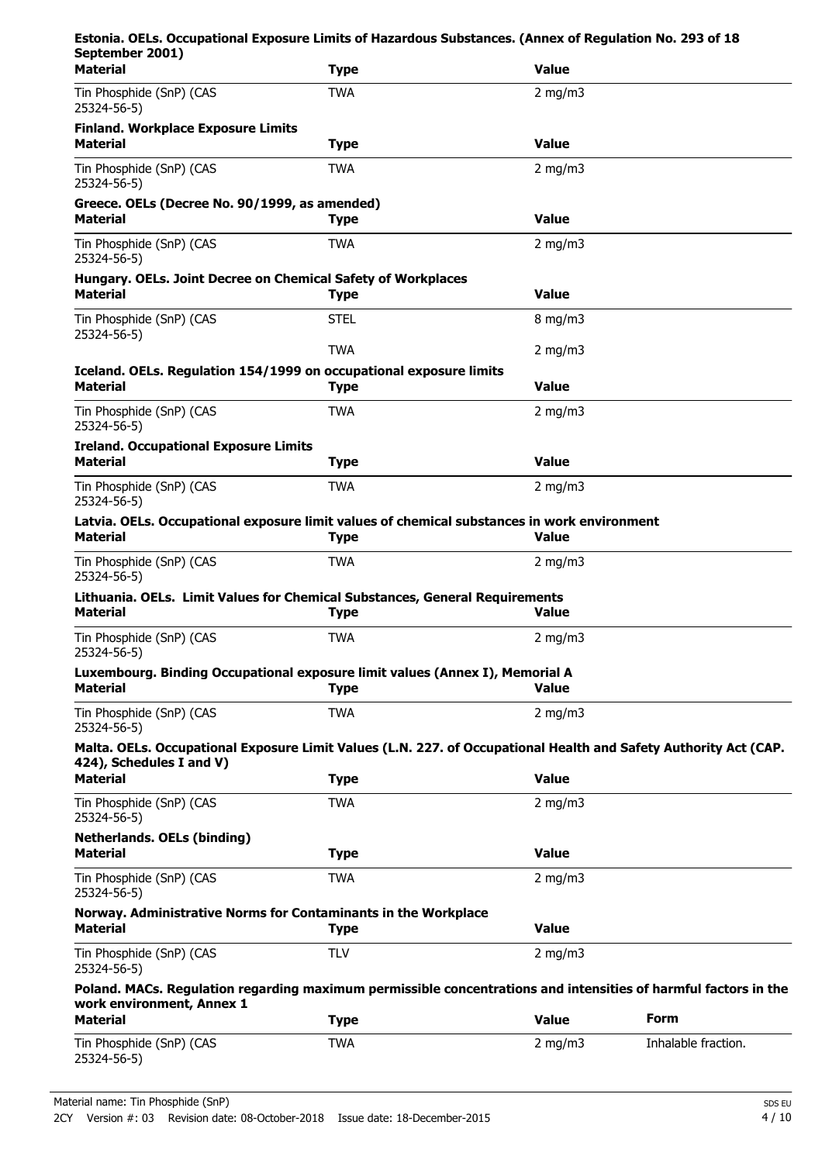| Estonia. OELs. Occupational Exposure Limits of Hazardous Substances. (Annex of Regulation No. 293 of 18<br>September 2001)                   |             |                  |                     |
|----------------------------------------------------------------------------------------------------------------------------------------------|-------------|------------------|---------------------|
| <b>Material</b>                                                                                                                              | <b>Type</b> | <b>Value</b>     |                     |
| Tin Phosphide (SnP) (CAS<br>25324-56-5)                                                                                                      | <b>TWA</b>  | 2 mg/m $3$       |                     |
| <b>Finland. Workplace Exposure Limits</b><br><b>Material</b>                                                                                 | <b>Type</b> | <b>Value</b>     |                     |
| Tin Phosphide (SnP) (CAS<br>25324-56-5)                                                                                                      | <b>TWA</b>  | 2 mg/m $3$       |                     |
| Greece. OELs (Decree No. 90/1999, as amended)<br><b>Material</b>                                                                             | <b>Type</b> | <b>Value</b>     |                     |
| Tin Phosphide (SnP) (CAS<br>25324-56-5)                                                                                                      | <b>TWA</b>  | 2 mg/m $3$       |                     |
| Hungary. OELs. Joint Decree on Chemical Safety of Workplaces<br><b>Material</b>                                                              | <b>Type</b> | <b>Value</b>     |                     |
| Tin Phosphide (SnP) (CAS<br>25324-56-5)                                                                                                      | <b>STEL</b> | $8 \text{ mg/m}$ |                     |
|                                                                                                                                              | <b>TWA</b>  | 2 mg/m $3$       |                     |
| Iceland. OELs. Regulation 154/1999 on occupational exposure limits<br><b>Material</b>                                                        | <b>Type</b> | <b>Value</b>     |                     |
| Tin Phosphide (SnP) (CAS<br>25324-56-5)                                                                                                      | <b>TWA</b>  | $2$ mg/m $3$     |                     |
| <b>Ireland. Occupational Exposure Limits</b><br><b>Material</b>                                                                              | <b>Type</b> | <b>Value</b>     |                     |
| Tin Phosphide (SnP) (CAS<br>25324-56-5)                                                                                                      | <b>TWA</b>  | 2 mg/m $3$       |                     |
| Latvia. OELs. Occupational exposure limit values of chemical substances in work environment<br><b>Material</b>                               | <b>Type</b> | <b>Value</b>     |                     |
| Tin Phosphide (SnP) (CAS<br>25324-56-5)                                                                                                      | <b>TWA</b>  | 2 mg/m $3$       |                     |
| Lithuania. OELs. Limit Values for Chemical Substances, General Requirements<br><b>Material</b>                                               | <b>Type</b> | <b>Value</b>     |                     |
| Tin Phosphide (SnP) (CAS<br>25324-56-5)                                                                                                      | <b>TWA</b>  | $2 \text{ mg/m}$ |                     |
| Luxembourg. Binding Occupational exposure limit values (Annex I), Memorial A<br><b>Material</b>                                              | <b>Type</b> | <b>Value</b>     |                     |
| Tin Phosphide (SnP) (CAS<br>25324-56-5)                                                                                                      | <b>TWA</b>  | $2 \text{ mg/m}$ |                     |
| Malta. OELs. Occupational Exposure Limit Values (L.N. 227. of Occupational Health and Safety Authority Act (CAP.<br>424), Schedules I and V) |             |                  |                     |
| <b>Material</b>                                                                                                                              | <b>Type</b> | <b>Value</b>     |                     |
| Tin Phosphide (SnP) (CAS<br>25324-56-5)                                                                                                      | <b>TWA</b>  | 2 mg/m $3$       |                     |
| <b>Netherlands. OELs (binding)</b><br><b>Material</b>                                                                                        | <b>Type</b> | <b>Value</b>     |                     |
| Tin Phosphide (SnP) (CAS<br>25324-56-5)                                                                                                      | <b>TWA</b>  | 2 mg/m $3$       |                     |
| Norway. Administrative Norms for Contaminants in the Workplace<br><b>Material</b>                                                            | <b>Type</b> | <b>Value</b>     |                     |
| Tin Phosphide (SnP) (CAS<br>25324-56-5)                                                                                                      | <b>TLV</b>  | 2 mg/m $3$       |                     |
| Poland. MACs. Regulation regarding maximum permissible concentrations and intensities of harmful factors in the<br>work environment, Annex 1 |             |                  |                     |
| <b>Material</b>                                                                                                                              | <b>Type</b> | <b>Value</b>     | <b>Form</b>         |
| Tin Phosphide (SnP) (CAS<br>25324-56-5)                                                                                                      | <b>TWA</b>  | 2 mg/m $3$       | Inhalable fraction. |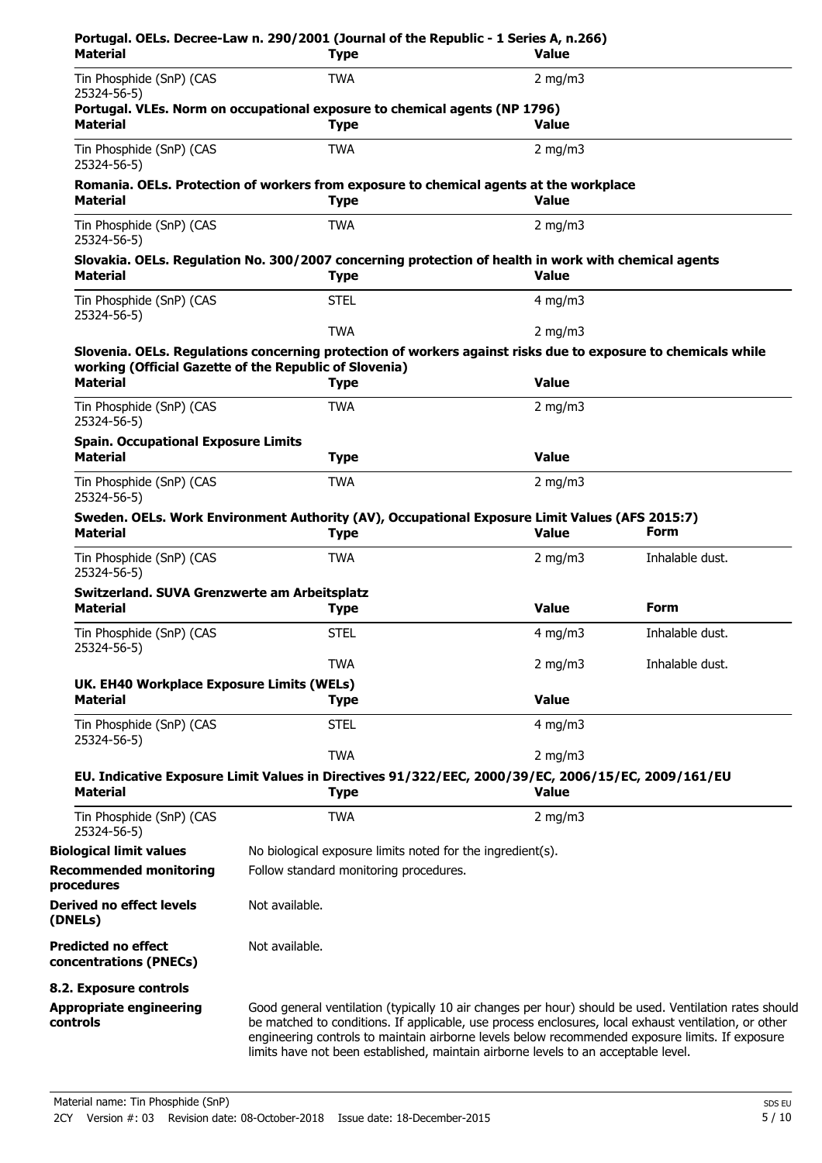| Material                                                        | <b>Type</b>                                                                                                                                                                                                                                                                                                                                                                                            | <b>Value</b>     |                 |
|-----------------------------------------------------------------|--------------------------------------------------------------------------------------------------------------------------------------------------------------------------------------------------------------------------------------------------------------------------------------------------------------------------------------------------------------------------------------------------------|------------------|-----------------|
| Tin Phosphide (SnP) (CAS<br>25324-56-5)                         | <b>TWA</b>                                                                                                                                                                                                                                                                                                                                                                                             | 2 mg/m $3$       |                 |
| <b>Material</b>                                                 | Portugal. VLEs. Norm on occupational exposure to chemical agents (NP 1796)<br><b>Type</b>                                                                                                                                                                                                                                                                                                              | <b>Value</b>     |                 |
| Tin Phosphide (SnP) (CAS<br>25324-56-5)                         | <b>TWA</b>                                                                                                                                                                                                                                                                                                                                                                                             | 2 mg/m $3$       |                 |
| <b>Material</b>                                                 | Romania. OELs. Protection of workers from exposure to chemical agents at the workplace<br><b>Type</b>                                                                                                                                                                                                                                                                                                  | <b>Value</b>     |                 |
| Tin Phosphide (SnP) (CAS<br>25324-56-5)                         | <b>TWA</b>                                                                                                                                                                                                                                                                                                                                                                                             | 2 mg/m $3$       |                 |
| <b>Material</b>                                                 | Slovakia. OELs. Regulation No. 300/2007 concerning protection of health in work with chemical agents<br><b>Type</b>                                                                                                                                                                                                                                                                                    | <b>Value</b>     |                 |
| Tin Phosphide (SnP) (CAS<br>25324-56-5)                         | <b>STEL</b>                                                                                                                                                                                                                                                                                                                                                                                            | 4 mg/m $3$       |                 |
|                                                                 | <b>TWA</b>                                                                                                                                                                                                                                                                                                                                                                                             | 2 mg/m $3$       |                 |
|                                                                 | Slovenia. OELs. Regulations concerning protection of workers against risks due to exposure to chemicals while<br>working (Official Gazette of the Republic of Slovenia)                                                                                                                                                                                                                                |                  |                 |
| <b>Material</b>                                                 | <b>Type</b>                                                                                                                                                                                                                                                                                                                                                                                            | <b>Value</b>     |                 |
| Tin Phosphide (SnP) (CAS<br>25324-56-5)                         | <b>TWA</b>                                                                                                                                                                                                                                                                                                                                                                                             | 2 mg/m $3$       |                 |
| <b>Spain. Occupational Exposure Limits</b><br><b>Material</b>   | <b>Type</b>                                                                                                                                                                                                                                                                                                                                                                                            | <b>Value</b>     |                 |
| Tin Phosphide (SnP) (CAS<br>25324-56-5)                         | <b>TWA</b>                                                                                                                                                                                                                                                                                                                                                                                             | 2 mg/m $3$       |                 |
| <b>Material</b>                                                 | Sweden. OELs. Work Environment Authority (AV), Occupational Exposure Limit Values (AFS 2015:7)<br><b>Type</b>                                                                                                                                                                                                                                                                                          | <b>Value</b>     | Form            |
| Tin Phosphide (SnP) (CAS<br>25324-56-5)                         | <b>TWA</b>                                                                                                                                                                                                                                                                                                                                                                                             | 2 mg/m $3$       | Inhalable dust. |
| Switzerland. SUVA Grenzwerte am Arbeitsplatz<br><b>Material</b> | <b>Type</b>                                                                                                                                                                                                                                                                                                                                                                                            | <b>Value</b>     | <b>Form</b>     |
| Tin Phosphide (SnP) (CAS<br>25324-56-5)                         | <b>STEL</b>                                                                                                                                                                                                                                                                                                                                                                                            | $4 \text{ mg/m}$ | Inhalable dust. |
|                                                                 | <b>TWA</b>                                                                                                                                                                                                                                                                                                                                                                                             | 2 mg/m $3$       | Inhalable dust. |
| UK. EH40 Workplace Exposure Limits (WELs)                       |                                                                                                                                                                                                                                                                                                                                                                                                        |                  |                 |
| <b>Material</b>                                                 | <b>Type</b>                                                                                                                                                                                                                                                                                                                                                                                            | <b>Value</b>     |                 |
| Tin Phosphide (SnP) (CAS<br>25324-56-5)                         | <b>STEL</b>                                                                                                                                                                                                                                                                                                                                                                                            | $4$ mg/m $3$     |                 |
|                                                                 | <b>TWA</b>                                                                                                                                                                                                                                                                                                                                                                                             | $2$ mg/m $3$     |                 |
| <b>Material</b>                                                 | EU. Indicative Exposure Limit Values in Directives 91/322/EEC, 2000/39/EC, 2006/15/EC, 2009/161/EU<br><b>Type</b>                                                                                                                                                                                                                                                                                      | <b>Value</b>     |                 |
| Tin Phosphide (SnP) (CAS<br>25324-56-5)                         | <b>TWA</b>                                                                                                                                                                                                                                                                                                                                                                                             | 2 mg/m $3$       |                 |
| <b>Biological limit values</b>                                  | No biological exposure limits noted for the ingredient(s).                                                                                                                                                                                                                                                                                                                                             |                  |                 |
| <b>Recommended monitoring</b><br>procedures                     | Follow standard monitoring procedures.                                                                                                                                                                                                                                                                                                                                                                 |                  |                 |
| <b>Derived no effect levels</b><br>(DNELs)                      | Not available.                                                                                                                                                                                                                                                                                                                                                                                         |                  |                 |
| <b>Predicted no effect</b><br>concentrations (PNECs)            | Not available.                                                                                                                                                                                                                                                                                                                                                                                         |                  |                 |
| 8.2. Exposure controls                                          |                                                                                                                                                                                                                                                                                                                                                                                                        |                  |                 |
| <b>Appropriate engineering</b><br>controls                      | Good general ventilation (typically 10 air changes per hour) should be used. Ventilation rates should<br>be matched to conditions. If applicable, use process enclosures, local exhaust ventilation, or other<br>engineering controls to maintain airborne levels below recommended exposure limits. If exposure<br>limits have not been established, maintain airborne levels to an acceptable level. |                  |                 |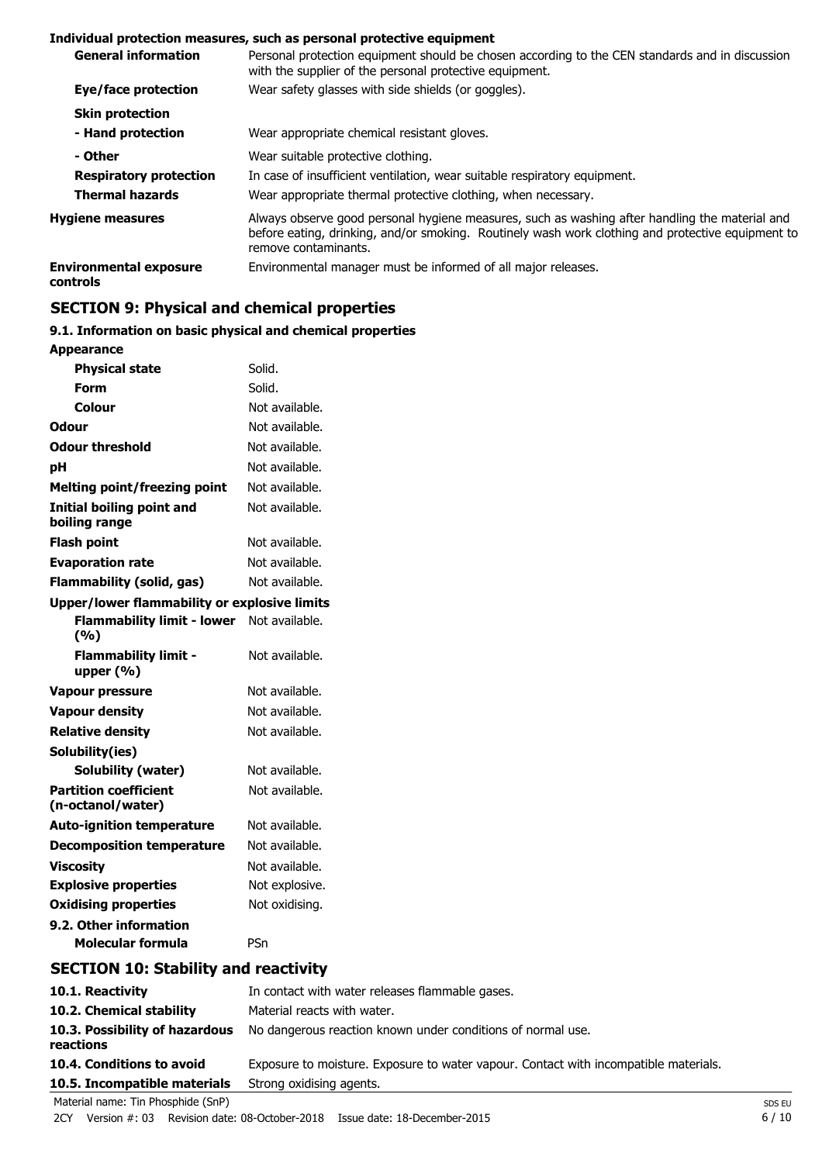#### **Individual protection measures, such as personal protective equipment**

| <b>General information</b>                       | Personal protection equipment should be chosen according to the CEN standards and in discussion<br>with the supplier of the personal protective equipment.                                                                  |  |  |  |  |
|--------------------------------------------------|-----------------------------------------------------------------------------------------------------------------------------------------------------------------------------------------------------------------------------|--|--|--|--|
| Eye/face protection                              | Wear safety glasses with side shields (or goggles).                                                                                                                                                                         |  |  |  |  |
| <b>Skin protection</b>                           |                                                                                                                                                                                                                             |  |  |  |  |
| - Hand protection                                | Wear appropriate chemical resistant gloves.                                                                                                                                                                                 |  |  |  |  |
| - Other                                          | Wear suitable protective clothing.                                                                                                                                                                                          |  |  |  |  |
| <b>Respiratory protection</b>                    | In case of insufficient ventilation, wear suitable respiratory equipment.                                                                                                                                                   |  |  |  |  |
| <b>Thermal hazards</b>                           | Wear appropriate thermal protective clothing, when necessary.                                                                                                                                                               |  |  |  |  |
| <b>Hygiene measures</b>                          | Always observe good personal hygiene measures, such as washing after handling the material and<br>before eating, drinking, and/or smoking. Routinely wash work clothing and protective equipment to<br>remove contaminants. |  |  |  |  |
| <b>Environmental exposure</b><br><b>controls</b> | Environmental manager must be informed of all major releases.                                                                                                                                                               |  |  |  |  |

# **SECTION 9: Physical and chemical properties**

# **9.1. Information on basic physical and chemical properties**

| <b>Appearance</b>                                   |                |  |  |  |
|-----------------------------------------------------|----------------|--|--|--|
| <b>Physical state</b>                               | Solid.         |  |  |  |
| Form                                                | Solid.         |  |  |  |
| Colour                                              | Not available. |  |  |  |
| <b>Odour</b>                                        | Not available. |  |  |  |
| <b>Odour threshold</b>                              | Not available. |  |  |  |
| рH                                                  | Not available. |  |  |  |
| <b>Melting point/freezing point</b>                 | Not available. |  |  |  |
| <b>Initial boiling point and</b><br>boiling range   | Not available. |  |  |  |
| <b>Flash point</b>                                  | Not available. |  |  |  |
| <b>Evaporation rate</b>                             | Not available. |  |  |  |
| Flammability (solid, gas)                           | Not available. |  |  |  |
| <b>Upper/lower flammability or explosive limits</b> |                |  |  |  |
| <b>Flammability limit - lower</b><br>(%)            | Not available. |  |  |  |
| <b>Flammability limit -</b><br>upper $(% )$         | Not available. |  |  |  |
| <b>Vapour pressure</b>                              | Not available. |  |  |  |
| <b>Vapour density</b>                               | Not available. |  |  |  |
| <b>Relative density</b>                             | Not available. |  |  |  |
| Solubility(ies)                                     |                |  |  |  |
| Solubility (water)                                  | Not available. |  |  |  |
| <b>Partition coefficient</b><br>(n-octanol/water)   | Not available. |  |  |  |
| <b>Auto-ignition temperature</b>                    | Not available. |  |  |  |
| <b>Decomposition temperature</b>                    | Not available. |  |  |  |
|                                                     |                |  |  |  |
| <b>Viscosity</b>                                    | Not available. |  |  |  |
| <b>Explosive properties</b>                         | Not explosive. |  |  |  |
| <b>Oxidising properties</b>                         | Not oxidising. |  |  |  |
| 9.2. Other information                              |                |  |  |  |

# **SECTION 10: Stability and reactivity**

| 10.1. Reactivity                            | In contact with water releases flammable gases.<br>Material reacts with water.       |        |  |
|---------------------------------------------|--------------------------------------------------------------------------------------|--------|--|
| 10.2. Chemical stability                    |                                                                                      |        |  |
| 10.3. Possibility of hazardous<br>reactions | No dangerous reaction known under conditions of normal use.                          |        |  |
| 10.4. Conditions to avoid                   | Exposure to moisture. Exposure to water vapour. Contact with incompatible materials. |        |  |
| 10.5. Incompatible materials                | Strong oxidising agents.                                                             |        |  |
| Material name: Tin Phosphide (SnP)          |                                                                                      | SDS EU |  |

2CY Version #: 03 Revision date: 08-October-2018 Issue date: 18-December-2015 6 / 10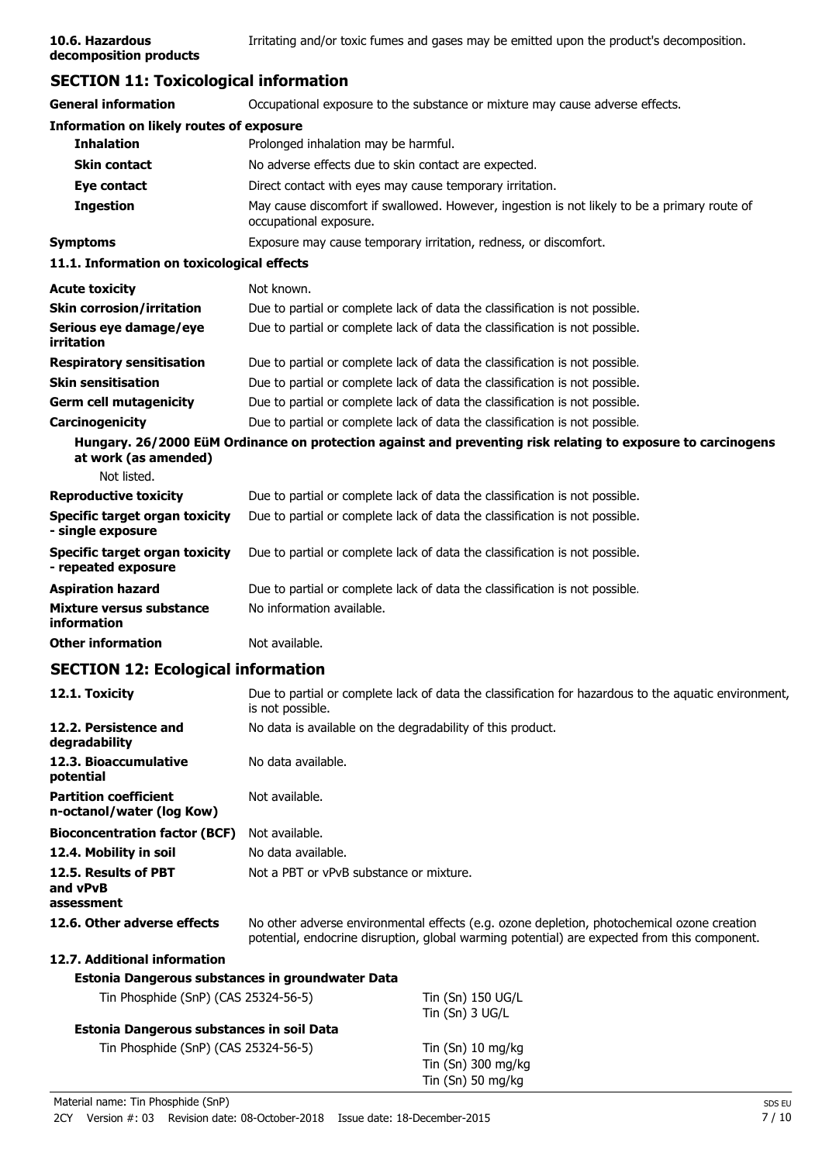# **SECTION 11: Toxicological information**

| <b>General information</b>                                   | Occupational exposure to the substance or mixture may cause adverse effects.                                                                                                               |  |  |  |  |
|--------------------------------------------------------------|--------------------------------------------------------------------------------------------------------------------------------------------------------------------------------------------|--|--|--|--|
| <b>Information on likely routes of exposure</b>              |                                                                                                                                                                                            |  |  |  |  |
| <b>Inhalation</b>                                            | Prolonged inhalation may be harmful.                                                                                                                                                       |  |  |  |  |
| <b>Skin contact</b>                                          | No adverse effects due to skin contact are expected.                                                                                                                                       |  |  |  |  |
| Eye contact                                                  | Direct contact with eyes may cause temporary irritation.                                                                                                                                   |  |  |  |  |
| <b>Ingestion</b>                                             | May cause discomfort if swallowed. However, ingestion is not likely to be a primary route of<br>occupational exposure.                                                                     |  |  |  |  |
| <b>Symptoms</b>                                              | Exposure may cause temporary irritation, redness, or discomfort.                                                                                                                           |  |  |  |  |
| 11.1. Information on toxicological effects                   |                                                                                                                                                                                            |  |  |  |  |
| <b>Acute toxicity</b>                                        | Not known.                                                                                                                                                                                 |  |  |  |  |
| <b>Skin corrosion/irritation</b>                             | Due to partial or complete lack of data the classification is not possible.                                                                                                                |  |  |  |  |
| Serious eye damage/eye<br>irritation                         | Due to partial or complete lack of data the classification is not possible.                                                                                                                |  |  |  |  |
| <b>Respiratory sensitisation</b>                             | Due to partial or complete lack of data the classification is not possible.                                                                                                                |  |  |  |  |
| <b>Skin sensitisation</b>                                    | Due to partial or complete lack of data the classification is not possible.                                                                                                                |  |  |  |  |
| <b>Germ cell mutagenicity</b>                                | Due to partial or complete lack of data the classification is not possible.                                                                                                                |  |  |  |  |
| Carcinogenicity                                              | Due to partial or complete lack of data the classification is not possible.                                                                                                                |  |  |  |  |
| at work (as amended)                                         | Hungary. 26/2000 EüM Ordinance on protection against and preventing risk relating to exposure to carcinogens                                                                               |  |  |  |  |
| Not listed.                                                  |                                                                                                                                                                                            |  |  |  |  |
| <b>Reproductive toxicity</b>                                 | Due to partial or complete lack of data the classification is not possible.                                                                                                                |  |  |  |  |
| <b>Specific target organ toxicity</b><br>- single exposure   | Due to partial or complete lack of data the classification is not possible.                                                                                                                |  |  |  |  |
| <b>Specific target organ toxicity</b><br>- repeated exposure | Due to partial or complete lack of data the classification is not possible.                                                                                                                |  |  |  |  |
| <b>Aspiration hazard</b>                                     | Due to partial or complete lack of data the classification is not possible.                                                                                                                |  |  |  |  |
| Mixture versus substance<br>information                      | No information available.                                                                                                                                                                  |  |  |  |  |
| <b>Other information</b>                                     | Not available.                                                                                                                                                                             |  |  |  |  |
| <b>SECTION 12: Ecological information</b>                    |                                                                                                                                                                                            |  |  |  |  |
| 12.1. Toxicity                                               | Due to partial or complete lack of data the classification for hazardous to the aquatic environment,<br>is not possible.                                                                   |  |  |  |  |
| 12.2. Persistence and<br>degradability                       | No data is available on the degradability of this product.                                                                                                                                 |  |  |  |  |
| 12.3. Bioaccumulative<br>potential                           | No data available.                                                                                                                                                                         |  |  |  |  |
| <b>Partition coefficient</b><br>n-octanol/water (log Kow)    | Not available.                                                                                                                                                                             |  |  |  |  |
| <b>Bioconcentration factor (BCF)</b>                         | Not available.                                                                                                                                                                             |  |  |  |  |
| 12.4. Mobility in soil                                       | No data available.                                                                                                                                                                         |  |  |  |  |
| 12.5. Results of PBT<br>and vPvB<br>assessment               | Not a PBT or vPvB substance or mixture.                                                                                                                                                    |  |  |  |  |
| 12.6. Other adverse effects                                  | No other adverse environmental effects (e.g. ozone depletion, photochemical ozone creation<br>potential, endocrine disruption, global warming potential) are expected from this component. |  |  |  |  |
| 12.7. Additional information                                 |                                                                                                                                                                                            |  |  |  |  |
| Estonia Dangerous substances in groundwater Data             |                                                                                                                                                                                            |  |  |  |  |
| Tin Phosphide (SnP) (CAS 25324-56-5)                         | Tin (Sn) 150 UG/L<br>Tin (Sn) 3 UG/L                                                                                                                                                       |  |  |  |  |
| Estonia Dangerous substances in soil Data                    |                                                                                                                                                                                            |  |  |  |  |
| Tin Phosphide (SnP) (CAS 25324-56-5)                         | Tin (Sn) 10 mg/kg<br>Tin (Sn) 300 mg/kg<br>Tin (Sn) 50 mg/kg                                                                                                                               |  |  |  |  |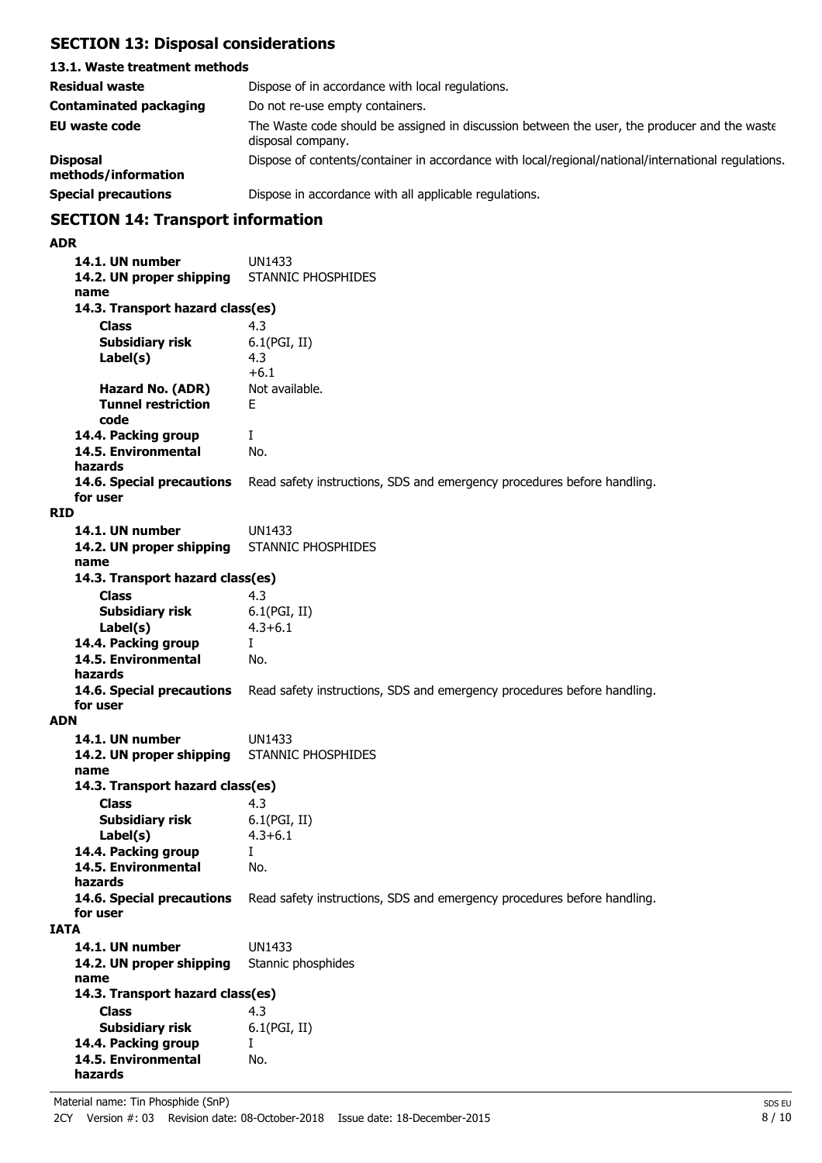# **SECTION 13: Disposal considerations**

## **13.1. Waste treatment methods Residual waste Dispose of in accordance with local regulations. Contaminated packaging** Do not re-use empty containers. **EU waste code** The Waste code should be assigned in discussion between the user, the producer and the waste disposal company. **Disposal** Dispose of contents/container in accordance with local/regional/national/international regulations. **methods/information Special precautions Dispose in accordance with all applicable regulations.**

# **SECTION 14: Transport information**

#### **ADR**

**14.1. UN number** UN1433 **14.2. UN proper shipping** STANNIC PHOSPHIDES **name Class** 4.3 **14.3. Transport hazard class(es) Subsidiary risk** 6.1(PGI, II) 4.3 +6.1<br>Not available. **Label(s) Hazard No. (ADR) Tunnel restriction** F **code 14.4. Packing group** I **14.5. Environmental** No. **hazards 14.6. Special precautions** Read safety instructions, SDS and emergency procedures before handling. **for user RID 14.1. UN number** UN1433 **14.2. UN proper shipping** STANNIC PHOSPHIDES **name Class** 4.3 **14.3. Transport hazard class(es) Subsidiary risk** 6.1(PGI, II) **Label(s)** 4.3+6.1 **14.4. Packing group** I **14.5. Environmental** No. **hazards 14.6. Special precautions** Read safety instructions, SDS and emergency procedures before handling. **for user ADN 14.1. UN number** UN1433 **14.2. UN proper shipping** STANNIC PHOSPHIDES **name Class** 4.3<br> **Subsidiary risk** 6.1(PGI, II) **14.3. Transport hazard class(es) Subsidiary risk Label(s)** 4.3+6.1 **14.4. Packing group** I **14.5. Environmental** No. **hazards 14.6. Special precautions** Read safety instructions, SDS and emergency procedures before handling. **for user IATA 14.1. UN number** UN1433 **14.2. UN proper shipping** Stannic phosphides **name Class** 4.3 **14.3. Transport hazard class(es) Subsidiary risk** 6.1(PGI, II) **14.4. Packing group** I **14.5. Environmental** No. **hazards**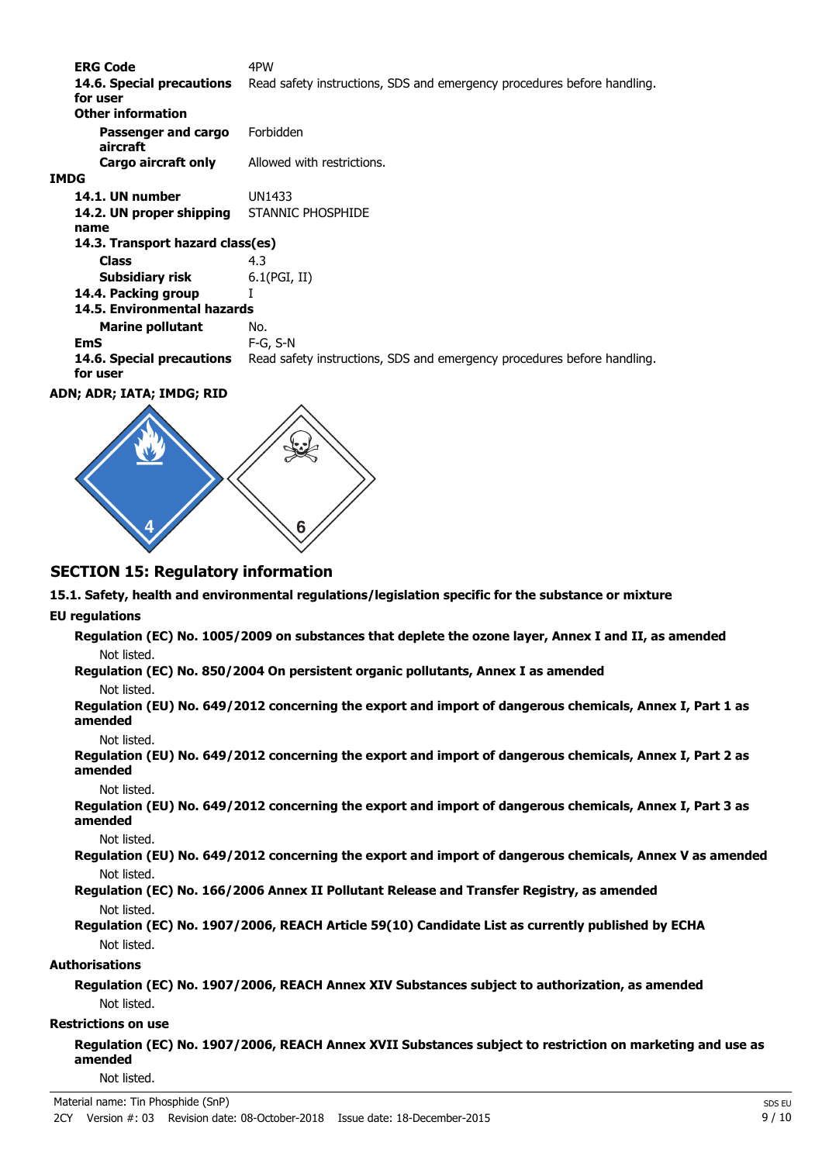**ERG Code** 4PW 14.6. Special precautions Read safety instructions, SDS and emergency procedures before handling. **for user Passenger and cargo** Forbidden **aircraft Other information Cargo aircraft only** Allowed with restrictions. **IMDG 14.1. UN number** UN1433 **14.2. UN proper shipping** STANNIC PHOSPHIDE **name Class** 4.3 **14.3. Transport hazard class(es) Subsidiary risk** 6.1(PGI, II) **14.4. Packing group** I **Marine pollutant** No. **14.5. Environmental hazards EmS** F-G, S-N **14.6. Special precautions** Read safety instructions, SDS and emergency procedures before handling. **for user**

**ADN; ADR; IATA; IMDG; RID**



# **SECTION 15: Regulatory information**

**15.1. Safety, health and environmental regulations/legislation specific for the substance or mixture**

#### **EU regulations**

**Regulation (EC) No. 1005/2009 on substances that deplete the ozone layer, Annex I and II, as amended** Not listed.

**Regulation (EC) No. 850/2004 On persistent organic pollutants, Annex I as amended**

#### Not listed.

**Regulation (EU) No. 649/2012 concerning the export and import of dangerous chemicals, Annex I, Part 1 as amended**

Not listed.

**Regulation (EU) No. 649/2012 concerning the export and import of dangerous chemicals, Annex I, Part 2 as amended**

Not listed.

**Regulation (EU) No. 649/2012 concerning the export and import of dangerous chemicals, Annex I, Part 3 as amended**

Not listed.

**Regulation (EU) No. 649/2012 concerning the export and import of dangerous chemicals, Annex V as amended** Not listed.

**Regulation (EC) No. 166/2006 Annex II Pollutant Release and Transfer Registry, as amended** Not listed.

**Regulation (EC) No. 1907/2006, REACH Article 59(10) Candidate List as currently published by ECHA** Not listed.

#### **Authorisations**

**Regulation (EC) No. 1907/2006, REACH Annex XIV Substances subject to authorization, as amended** Not listed.

#### **Restrictions on use**

**Regulation (EC) No. 1907/2006, REACH Annex XVII Substances subject to restriction on marketing and use as amended**

Not listed.